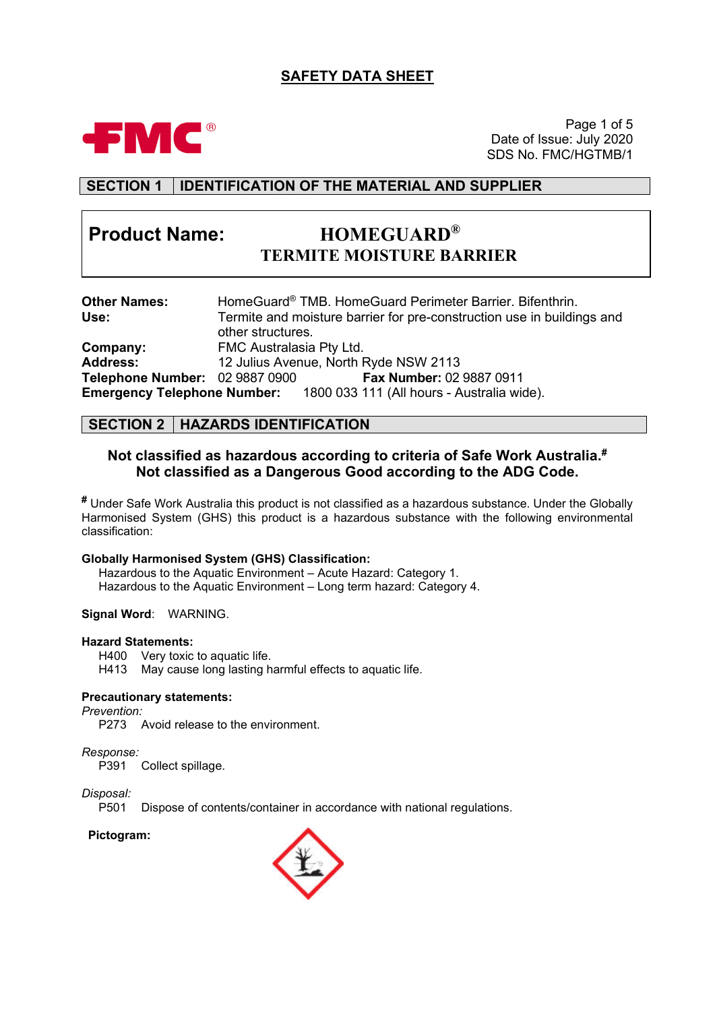# **SAFETY DATA SHEET**



Page 1 of 5 Date of Issue: July 2020 SDS No. FMC/HGTMB/1

# **SECTION 1 IDENTIFICATION OF THE MATERIAL AND SUPPLIER**

# **Product Name: HOMEGUARD®**

# **TERMITE MOISTURE BARRIER**

| <b>Other Names:</b>            | HomeGuard® TMB. HomeGuard Perimeter Barrier. Bifenthrin.                      |
|--------------------------------|-------------------------------------------------------------------------------|
| Use:                           | Termite and moisture barrier for pre-construction use in buildings and        |
|                                | other structures.                                                             |
| Company:                       | FMC Australasia Pty Ltd.                                                      |
| <b>Address:</b>                | 12 Julius Avenue, North Ryde NSW 2113                                         |
| Telephone Number: 02 9887 0900 | Fax Number: 02 9887 0911                                                      |
|                                | <b>Emergency Telephone Number:</b> 1800 033 111 (All hours - Australia wide). |

#### **SECTION 2 HAZARDS IDENTIFICATION**

#### **Not classified as hazardous according to criteria of Safe Work Australia. # Not classified as a Dangerous Good according to the ADG Code.**

**#** Under Safe Work Australia this product is not classified as a hazardous substance. Under the Globally Harmonised System (GHS) this product is a hazardous substance with the following environmental classification:

#### **Globally Harmonised System (GHS) Classification:**

Hazardous to the Aquatic Environment – Acute Hazard: Category 1. Hazardous to the Aquatic Environment – Long term hazard: Category 4.

**Signal Word**: WARNING.

#### **Hazard Statements:**

H400 Very toxic to aquatic life.

H413 May cause long lasting harmful effects to aquatic life.

#### **Precautionary statements:**

*Prevention:*

P273 Avoid release to the environment.

*Response:*

Collect spillage.

# *Disposal:*

Dispose of contents/container in accordance with national regulations.

#### **Pictogram:**

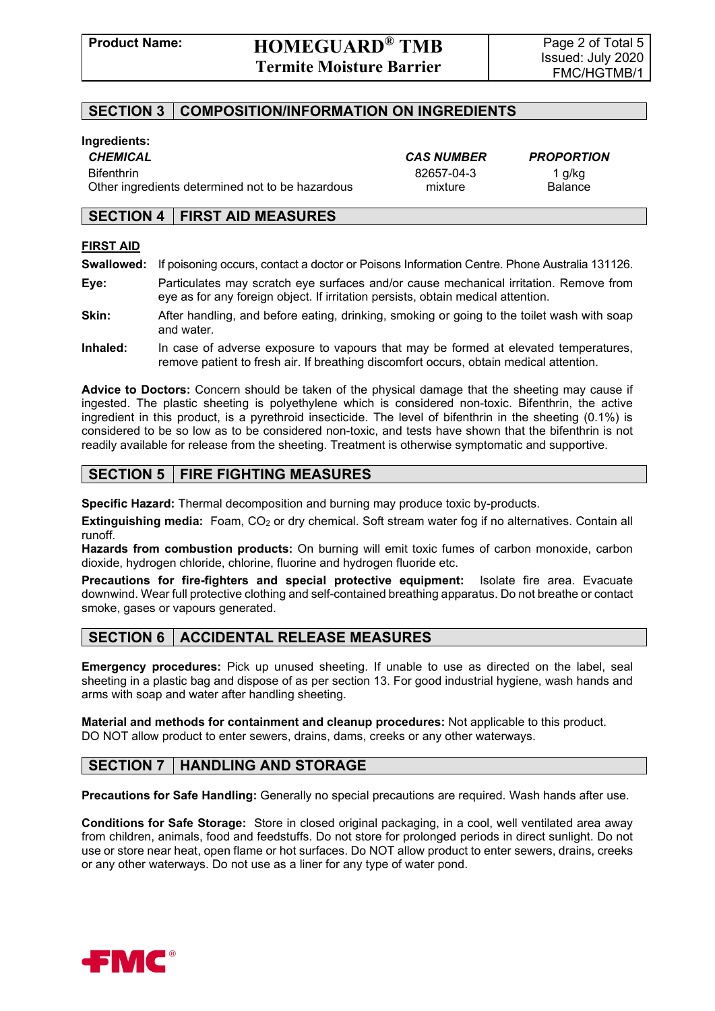### **SECTION 3 COMPOSITION/INFORMATION ON INGREDIENTS**

#### **Ingredients:**

Bifenthrin 82657-04-3 1 g/kg Other ingredients determined not to be hazardous mixture mixture Balance

*CHEMICAL CAS NUMBER PROPORTION*

#### **SECTION 4 FIRST AID MEASURES**

#### **FIRST AID**

- **Swallowed:** If poisoning occurs, contact a doctor or Poisons Information Centre. Phone Australia 131126.
- **Eye:** Particulates may scratch eye surfaces and/or cause mechanical irritation. Remove from eye as for any foreign object. If irritation persists, obtain medical attention.
- **Skin:** After handling, and before eating, drinking, smoking or going to the toilet wash with soap and water.
- **Inhaled:** In case of adverse exposure to vapours that may be formed at elevated temperatures, remove patient to fresh air. If breathing discomfort occurs, obtain medical attention.

**Advice to Doctors:** Concern should be taken of the physical damage that the sheeting may cause if ingested. The plastic sheeting is polyethylene which is considered non-toxic. Bifenthrin, the active ingredient in this product, is a pyrethroid insecticide. The level of bifenthrin in the sheeting (0.1%) is considered to be so low as to be considered non-toxic, and tests have shown that the bifenthrin is not readily available for release from the sheeting. Treatment is otherwise symptomatic and supportive.

#### **SECTION 5 FIRE FIGHTING MEASURES**

**Specific Hazard:** Thermal decomposition and burning may produce toxic by-products.

**Extinguishing media:** Foam, CO<sub>2</sub> or dry chemical. Soft stream water fog if no alternatives. Contain all runoff.

**Hazards from combustion products:** On burning will emit toxic fumes of carbon monoxide, carbon dioxide, hydrogen chloride, chlorine, fluorine and hydrogen fluoride etc.

**Precautions for fire-fighters and special protective equipment:** Isolate fire area. Evacuate downwind. Wear full protective clothing and self-contained breathing apparatus. Do not breathe or contact smoke, gases or vapours generated.

#### **SECTION 6 ACCIDENTAL RELEASE MEASURES**

**Emergency procedures:** Pick up unused sheeting. If unable to use as directed on the label, seal sheeting in a plastic bag and dispose of as per section 13. For good industrial hygiene, wash hands and arms with soap and water after handling sheeting.

**Material and methods for containment and cleanup procedures:** Not applicable to this product. DO NOT allow product to enter sewers, drains, dams, creeks or any other waterways.

# **SECTION 7 HANDLING AND STORAGE**

**Precautions for Safe Handling:** Generally no special precautions are required. Wash hands after use.

**Conditions for Safe Storage:** Store in closed original packaging, in a cool, well ventilated area away from children, animals, food and feedstuffs. Do not store for prolonged periods in direct sunlight. Do not use or store near heat, open flame or hot surfaces. Do NOT allow product to enter sewers, drains, creeks or any other waterways. Do not use as a liner for any type of water pond.

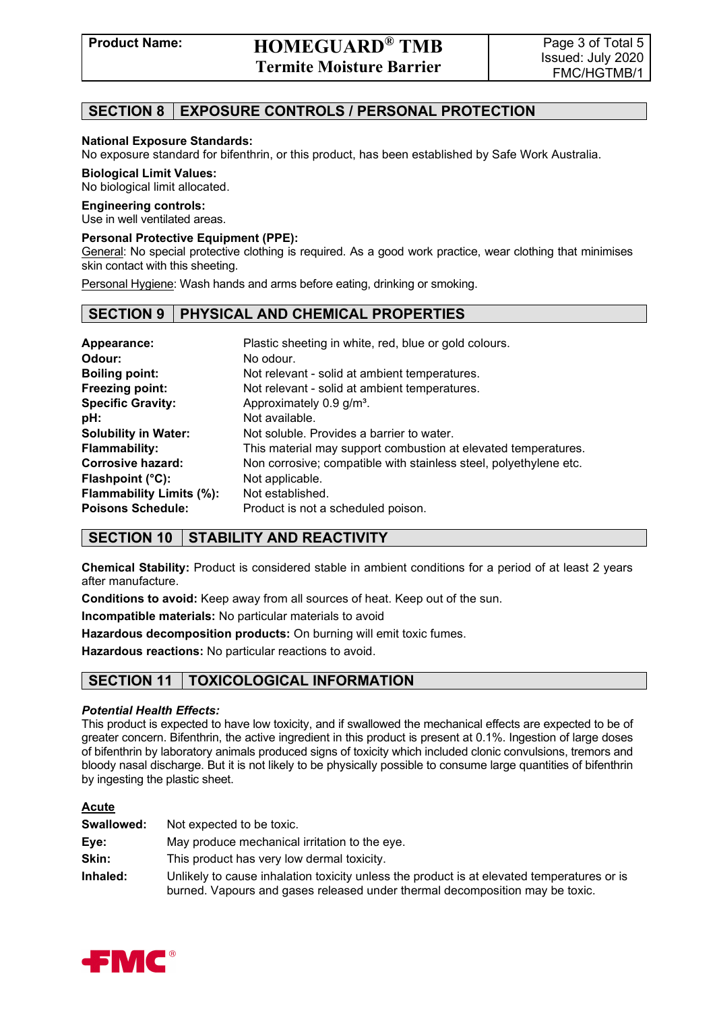# **SECTION 8 EXPOSURE CONTROLS / PERSONAL PROTECTION**

#### **National Exposure Standards:**

No exposure standard for bifenthrin, or this product, has been established by Safe Work Australia.

#### **Biological Limit Values:**

No biological limit allocated.

#### **Engineering controls:**

Use in well ventilated areas.

#### **Personal Protective Equipment (PPE):**

General: No special protective clothing is required. As a good work practice, wear clothing that minimises skin contact with this sheeting.

Personal Hygiene: Wash hands and arms before eating, drinking or smoking.

#### **SECTION 9 PHYSICAL AND CHEMICAL PROPERTIES**

| Appearance:                     | Plastic sheeting in white, red, blue or gold colours.             |
|---------------------------------|-------------------------------------------------------------------|
| Odour:                          | No odour.                                                         |
| <b>Boiling point:</b>           | Not relevant - solid at ambient temperatures.                     |
| Freezing point:                 | Not relevant - solid at ambient temperatures.                     |
| <b>Specific Gravity:</b>        | Approximately 0.9 g/m <sup>3</sup> .                              |
| pH:                             | Not available.                                                    |
| <b>Solubility in Water:</b>     | Not soluble. Provides a barrier to water.                         |
| <b>Flammability:</b>            | This material may support combustion at elevated temperatures.    |
| <b>Corrosive hazard:</b>        | Non corrosive; compatible with stainless steel, polyethylene etc. |
| Flashpoint $(^{\circ}C)$ :      | Not applicable.                                                   |
| <b>Flammability Limits (%):</b> | Not established.                                                  |
| <b>Poisons Schedule:</b>        | Product is not a scheduled poison.                                |

# **SECTION 10 STABILITY AND REACTIVITY**

**Chemical Stability:** Product is considered stable in ambient conditions for a period of at least 2 years after manufacture.

**Conditions to avoid:** Keep away from all sources of heat. Keep out of the sun.

**Incompatible materials:** No particular materials to avoid

**Hazardous decomposition products:** On burning will emit toxic fumes.

**Hazardous reactions:** No particular reactions to avoid.

# **SECTION 11 TOXICOLOGICAL INFORMATION**

#### *Potential Health Effects:*

This product is expected to have low toxicity, and if swallowed the mechanical effects are expected to be of greater concern. Bifenthrin, the active ingredient in this product is present at 0.1%. Ingestion of large doses of bifenthrin by laboratory animals produced signs of toxicity which included clonic convulsions, tremors and bloody nasal discharge. But it is not likely to be physically possible to consume large quantities of bifenthrin by ingesting the plastic sheet.

#### **Acute**

| Swallowed: | Not expected to be toxic.                                                                                                                                                  |
|------------|----------------------------------------------------------------------------------------------------------------------------------------------------------------------------|
| Eye:       | May produce mechanical irritation to the eye.                                                                                                                              |
| Skin:      | This product has very low dermal toxicity.                                                                                                                                 |
| Inhaled:   | Unlikely to cause inhalation toxicity unless the product is at elevated temperatures or is<br>burned. Vapours and gases released under thermal decomposition may be toxic. |

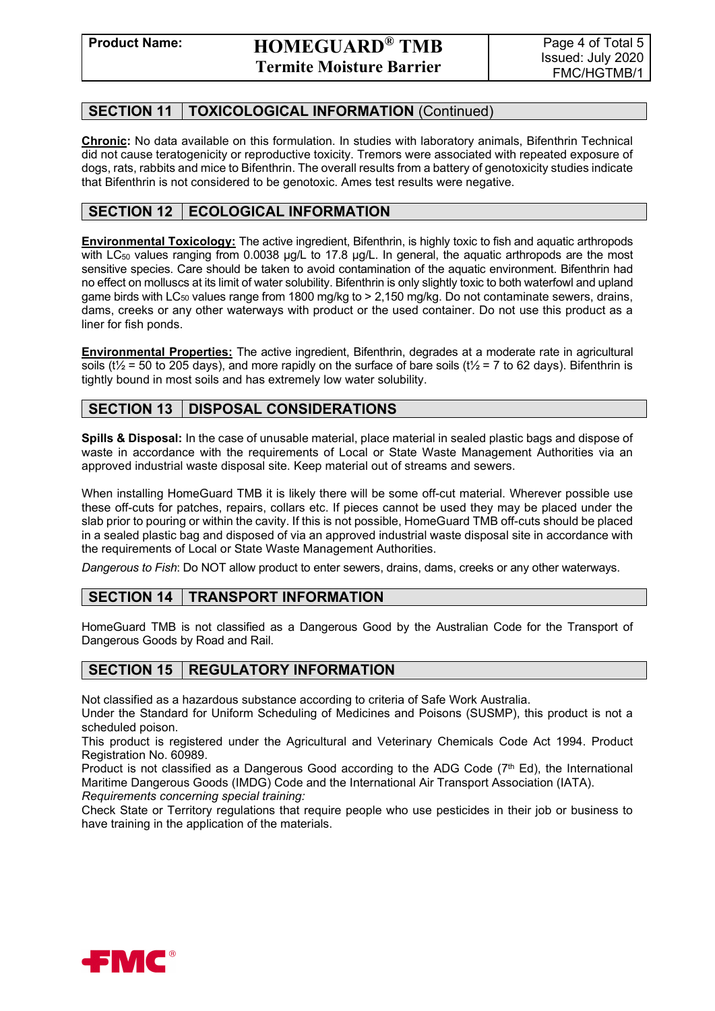# **SECTION 11 TOXICOLOGICAL INFORMATION** (Continued)

**Chronic:** No data available on this formulation. In studies with laboratory animals, Bifenthrin Technical did not cause teratogenicity or reproductive toxicity. Tremors were associated with repeated exposure of dogs, rats, rabbits and mice to Bifenthrin. The overall results from a battery of genotoxicity studies indicate that Bifenthrin is not considered to be genotoxic. Ames test results were negative.

# **SECTION 12 | ECOLOGICAL INFORMATION**

**Environmental Toxicology:** The active ingredient, Bifenthrin, is highly toxic to fish and aquatic arthropods with LC<sub>50</sub> values ranging from 0.0038  $\mu$ g/L to 17.8  $\mu$ g/L. In general, the aquatic arthropods are the most sensitive species. Care should be taken to avoid contamination of the aquatic environment. Bifenthrin had no effect on molluscs at its limit of water solubility. Bifenthrin is only slightly toxic to both waterfowl and upland game birds with LC<sub>50</sub> values range from 1800 mg/kg to  $> 2,150$  mg/kg. Do not contaminate sewers, drains, dams, creeks or any other waterways with product or the used container. Do not use this product as a liner for fish ponds.

**Environmental Properties:** The active ingredient, Bifenthrin, degrades at a moderate rate in agricultural soils ( $t\frac{1}{2}$  = 50 to 205 days), and more rapidly on the surface of bare soils ( $t\frac{1}{2}$  = 7 to 62 days). Bifenthrin is tightly bound in most soils and has extremely low water solubility.

# **SECTION 13 DISPOSAL CONSIDERATIONS**

**Spills & Disposal:** In the case of unusable material, place material in sealed plastic bags and dispose of waste in accordance with the requirements of Local or State Waste Management Authorities via an approved industrial waste disposal site. Keep material out of streams and sewers.

When installing HomeGuard TMB it is likely there will be some off-cut material. Wherever possible use these off-cuts for patches, repairs, collars etc. If pieces cannot be used they may be placed under the slab prior to pouring or within the cavity. If this is not possible, HomeGuard TMB off-cuts should be placed in a sealed plastic bag and disposed of via an approved industrial waste disposal site in accordance with the requirements of Local or State Waste Management Authorities.

*Dangerous to Fish*: Do NOT allow product to enter sewers, drains, dams, creeks or any other waterways.

# **SECTION 14 TRANSPORT INFORMATION**

HomeGuard TMB is not classified as a Dangerous Good by the Australian Code for the Transport of Dangerous Goods by Road and Rail.

# **SECTION 15 REGULATORY INFORMATION**

Not classified as a hazardous substance according to criteria of Safe Work Australia.

Under the Standard for Uniform Scheduling of Medicines and Poisons (SUSMP), this product is not a scheduled poison.

This product is registered under the Agricultural and Veterinary Chemicals Code Act 1994. Product Registration No. 60989.

Product is not classified as a Dangerous Good according to the ADG Code  $(7<sup>th</sup> Ed)$ , the International Maritime Dangerous Goods (IMDG) Code and the International Air Transport Association (IATA). *Requirements concerning special training:*

Check State or Territory regulations that require people who use pesticides in their job or business to have training in the application of the materials.